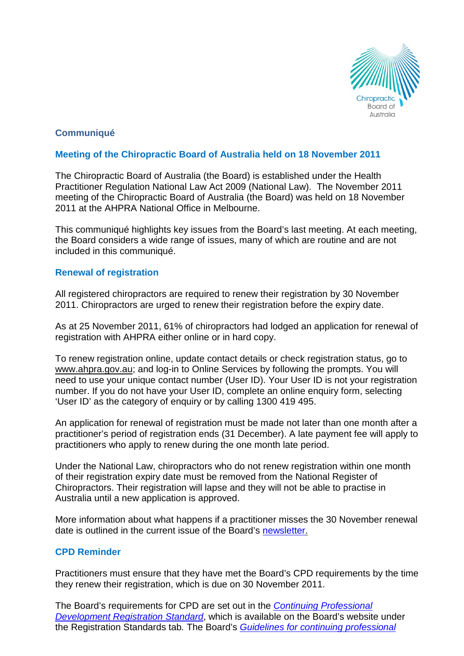

# **Communiqué**

# **Meeting of the Chiropractic Board of Australia held on 18 November 2011**

The Chiropractic Board of Australia (the Board) is established under the Health Practitioner Regulation National Law Act 2009 (National Law). The November 2011 meeting of the Chiropractic Board of Australia (the Board) was held on 18 November 2011 at the AHPRA National Office in Melbourne.

This communiqué highlights key issues from the Board's last meeting. At each meeting, the Board considers a wide range of issues, many of which are routine and are not included in this communiqué.

# **Renewal of registration**

All registered chiropractors are required to renew their registration by 30 November 2011. Chiropractors are urged to renew their registration before the expiry date.

As at 25 November 2011, 61% of chiropractors had lodged an application for renewal of registration with AHPRA either online or in hard copy.

To renew registration online, update contact details or check registration status, go to www.ahpra.gov.au; and log-in to Online Services by following the prompts. You will need to use your unique contact number (User ID). Your User ID is not your registration number. If you do not have your User ID, complete an online enquiry form, selecting 'User ID' as the category of enquiry or by calling 1300 419 495.

An application for renewal of registration must be made not later than one month after a practitioner's period of registration ends (31 December). A late payment fee will apply to practitioners who apply to renew during the one month late period.

Under the National Law, chiropractors who do not renew registration within one month of their registration expiry date must be removed from the National Register of Chiropractors. Their registration will lapse and they will not be able to practise in Australia until a new application is approved.

More information about what happens if a practitioner misses the 30 November renewal date is outlined in the current issue of the Board's [newsletter.](http://www.chiropracticboard.gov.au/documents/default.aspx?record=WD11%2f6707&dbid=AP&chksum=%2bKFh6vqT5QMdhZ07W%2finXQ%3d%3d)

# **CPD Reminder**

Practitioners must ensure that they have met the Board's CPD requirements by the time they renew their registration, which is due on 30 November 2011.

The Board's requirements for CPD are set out in the *[Continuing Professional](http://www.chiropracticboard.gov.au/documents/default.aspx?record=WD10%2f63&dbid=AP&chksum=MaxHjBXkaRJK3HJ5fBnekw%3d%3d)  [Development Registration Standard](http://www.chiropracticboard.gov.au/documents/default.aspx?record=WD10%2f63&dbid=AP&chksum=MaxHjBXkaRJK3HJ5fBnekw%3d%3d)*, which is available on the Board's website under the Registration Standards tab*.* The Board's *[Guidelines for continuing professional](http://www.chiropracticboard.gov.au/Codes-Guidelines.aspx)*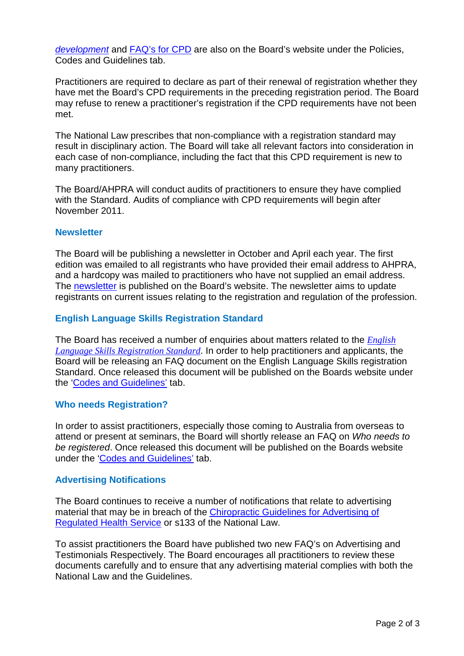*development* and [FAQ's for CPD](http://www.chiropracticboard.gov.au/documents/default.aspx?record=WD11%2f5277&dbid=AP&chksum=Nm%2f2OY7sWBrWOErpV%2bKtjA%3d%3d) are also on the Board's website under the Policies, Codes and Guidelines tab.

Practitioners are required to declare as part of their renewal of registration whether they have met the Board's CPD requirements in the preceding registration period. The Board may refuse to renew a practitioner's registration if the CPD requirements have not been met.

The National Law prescribes that non-compliance with a registration standard may result in disciplinary action. The Board will take all relevant factors into consideration in each case of non-compliance, including the fact that this CPD requirement is new to many practitioners.

The Board/AHPRA will conduct audits of practitioners to ensure they have complied with the Standard. Audits of compliance with CPD requirements will begin after November 2011.

#### **Newsletter**

The Board will be publishing a newsletter in October and April each year. The first edition was emailed to all registrants who have provided their email address to AHPRA, and a hardcopy was mailed to practitioners who have not supplied an email address. The [newsletter](http://www.chiropracticboard.gov.au/documents/default.aspx?record=WD11%2f6707&dbid=AP&chksum=%2bKFh6vqT5QMdhZ07W%2finXQ%3d%3d) is published on the Board's website. The newsletter aims to update registrants on current issues relating to the registration and regulation of the profession.

## **English Language Skills Registration Standard**

The Board has received a number of enquiries about matters related to the *[English](http://www.chiropracticboard.gov.au/documents/default.aspx?record=WD10%2f65&dbid=AP&chksum=ngTIN3VI6uP8W1FyneT3Mg%3d%3d)  [Language Skills Registration Standard](http://www.chiropracticboard.gov.au/documents/default.aspx?record=WD10%2f65&dbid=AP&chksum=ngTIN3VI6uP8W1FyneT3Mg%3d%3d)*. In order to help practitioners and applicants, the Board will be releasing an FAQ document on the English Language Skills registration Standard. Once released this document will be published on the Boards website under the ['Codes and Guidelines'](http://www.chiropracticboard.gov.au/Codes-Guidelines/FAQ.aspx) tab.

## **Who needs Registration?**

In order to assist practitioners, especially those coming to Australia from overseas to attend or present at seminars, the Board will shortly release an FAQ on *Who needs to be registered*. Once released this document will be published on the Boards website under the ['Codes and Guidelines'](http://www.chiropracticboard.gov.au/Codes-Guidelines/FAQ.aspx) tab.

## **Advertising Notifications**

The Board continues to receive a number of notifications that relate to advertising material that may be in breach of the [Chiropractic Guidelines for Advertising of](http://www.chiropracticboard.gov.au/documents/default.aspx?record=WD10%2f2667&dbid=AP&chksum=OZC46P%2bn5kbf3Wqa21iNqg%3d%3d)  [Regulated Health Service](http://www.chiropracticboard.gov.au/documents/default.aspx?record=WD10%2f2667&dbid=AP&chksum=OZC46P%2bn5kbf3Wqa21iNqg%3d%3d) or s133 of the National Law.

To assist practitioners the Board have published two new FAQ's on Advertising and Testimonials Respectively. The Board encourages all practitioners to review these documents carefully and to ensure that any advertising material complies with both the National Law and the Guidelines.